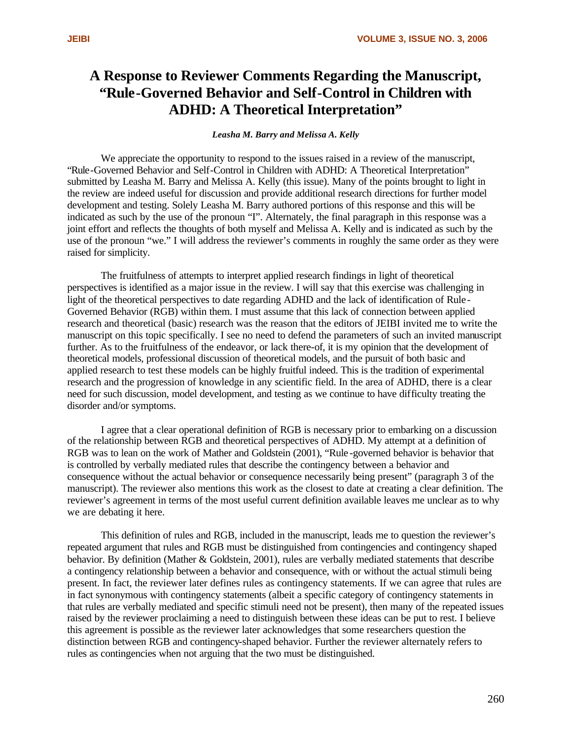## **A Response to Reviewer Comments Regarding the Manuscript, "Rule-Governed Behavior and Self-Control in Children with ADHD: A Theoretical Interpretation"**

## *Leasha M. Barry and Melissa A. Kelly*

We appreciate the opportunity to respond to the issues raised in a review of the manuscript, "Rule-Governed Behavior and Self-Control in Children with ADHD: A Theoretical Interpretation" submitted by Leasha M. Barry and Melissa A. Kelly (this issue). Many of the points brought to light in the review are indeed useful for discussion and provide additional research directions for further model development and testing. Solely Leasha M. Barry authored portions of this response and this will be indicated as such by the use of the pronoun "I". Alternately, the final paragraph in this response was a joint effort and reflects the thoughts of both myself and Melissa A. Kelly and is indicated as such by the use of the pronoun "we." I will address the reviewer's comments in roughly the same order as they were raised for simplicity.

The fruitfulness of attempts to interpret applied research findings in light of theoretical perspectives is identified as a major issue in the review. I will say that this exercise was challenging in light of the theoretical perspectives to date regarding ADHD and the lack of identification of Rule - Governed Behavior (RGB) within them. I must assume that this lack of connection between applied research and theoretical (basic) research was the reason that the editors of JEIBI invited me to write the manuscript on this topic specifically. I see no need to defend the parameters of such an invited manuscript further. As to the fruitfulness of the endeavor, or lack there-of, it is my opinion that the development of theoretical models, professional discussion of theoretical models, and the pursuit of both basic and applied research to test these models can be highly fruitful indeed. This is the tradition of experimental research and the progression of knowledge in any scientific field. In the area of ADHD, there is a clear need for such discussion, model development, and testing as we continue to have difficulty treating the disorder and/or symptoms.

I agree that a clear operational definition of RGB is necessary prior to embarking on a discussion of the relationship between RGB and theoretical perspectives of ADHD. My attempt at a definition of RGB was to lean on the work of Mather and Goldstein (2001), "Rule-governed behavior is behavior that is controlled by verbally mediated rules that describe the contingency between a behavior and consequence without the actual behavior or consequence necessarily being present" (paragraph 3 of the manuscript). The reviewer also mentions this work as the closest to date at creating a clear definition. The reviewer's agreement in terms of the most useful current definition available leaves me unclear as to why we are debating it here.

This definition of rules and RGB, included in the manuscript, leads me to question the reviewer's repeated argument that rules and RGB must be distinguished from contingencies and contingency shaped behavior. By definition (Mather & Goldstein, 2001), rules are verbally mediated statements that describe a contingency relationship between a behavior and consequence, with or without the actual stimuli being present. In fact, the reviewer later defines rules as contingency statements. If we can agree that rules are in fact synonymous with contingency statements (albeit a specific category of contingency statements in that rules are verbally mediated and specific stimuli need not be present), then many of the repeated issues raised by the reviewer proclaiming a need to distinguish between these ideas can be put to rest. I believe this agreement is possible as the reviewer later acknowledges that some researchers question the distinction between RGB and contingency-shaped behavior. Further the reviewer alternately refers to rules as contingencies when not arguing that the two must be distinguished.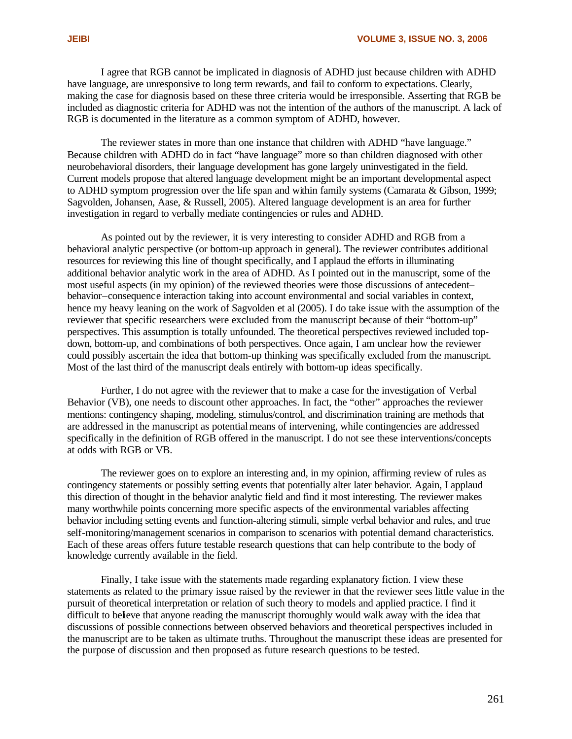I agree that RGB cannot be implicated in diagnosis of ADHD just because children with ADHD have language, are unresponsive to long term rewards, and fail to conform to expectations. Clearly, making the case for diagnosis based on these three criteria would be irresponsible. Asserting that RGB be included as diagnostic criteria for ADHD was not the intention of the authors of the manuscript. A lack of RGB is documented in the literature as a common symptom of ADHD, however.

The reviewer states in more than one instance that children with ADHD "have language." Because children with ADHD do in fact "have language" more so than children diagnosed with other neurobehavioral disorders, their language development has gone largely uninvestigated in the field. Current models propose that altered language development might be an important developmental aspect to ADHD symptom progression over the life span and within family systems (Camarata & Gibson, 1999; Sagvolden, Johansen, Aase, & Russell, 2005). Altered language development is an area for further investigation in regard to verbally mediate contingencies or rules and ADHD.

As pointed out by the reviewer, it is very interesting to consider ADHD and RGB from a behavioral analytic perspective (or bottom-up approach in general). The reviewer contributes additional resources for reviewing this line of thought specifically, and I applaud the efforts in illuminating additional behavior analytic work in the area of ADHD. As I pointed out in the manuscript, some of the most useful aspects (in my opinion) of the reviewed theories were those discussions of antecedent– behavior–consequence interaction taking into account environmental and social variables in context, hence my heavy leaning on the work of Sagvolden et al (2005). I do take issue with the assumption of the reviewer that specific researchers were excluded from the manuscript because of their "bottom-up" perspectives. This assumption is totally unfounded. The theoretical perspectives reviewed included topdown, bottom-up, and combinations of both perspectives. Once again, I am unclear how the reviewer could possibly ascertain the idea that bottom-up thinking was specifically excluded from the manuscript. Most of the last third of the manuscript deals entirely with bottom-up ideas specifically.

Further, I do not agree with the reviewer that to make a case for the investigation of Verbal Behavior (VB), one needs to discount other approaches. In fact, the "other" approaches the reviewer mentions: contingency shaping, modeling, stimulus/control, and discrimination training are methods that are addressed in the manuscript as potential means of intervening, while contingencies are addressed specifically in the definition of RGB offered in the manuscript. I do not see these interventions/concepts at odds with RGB or VB.

The reviewer goes on to explore an interesting and, in my opinion, affirming review of rules as contingency statements or possibly setting events that potentially alter later behavior. Again, I applaud this direction of thought in the behavior analytic field and find it most interesting. The reviewer makes many worthwhile points concerning more specific aspects of the environmental variables affecting behavior including setting events and function-altering stimuli, simple verbal behavior and rules, and true self-monitoring/management scenarios in comparison to scenarios with potential demand characteristics. Each of these areas offers future testable research questions that can help contribute to the body of knowledge currently available in the field.

Finally, I take issue with the statements made regarding explanatory fiction. I view these statements as related to the primary issue raised by the reviewer in that the reviewer sees little value in the pursuit of theoretical interpretation or relation of such theory to models and applied practice. I find it difficult to believe that anyone reading the manuscript thoroughly would walk away with the idea that discussions of possible connections between observed behaviors and theoretical perspectives included in the manuscript are to be taken as ultimate truths. Throughout the manuscript these ideas are presented for the purpose of discussion and then proposed as future research questions to be tested.